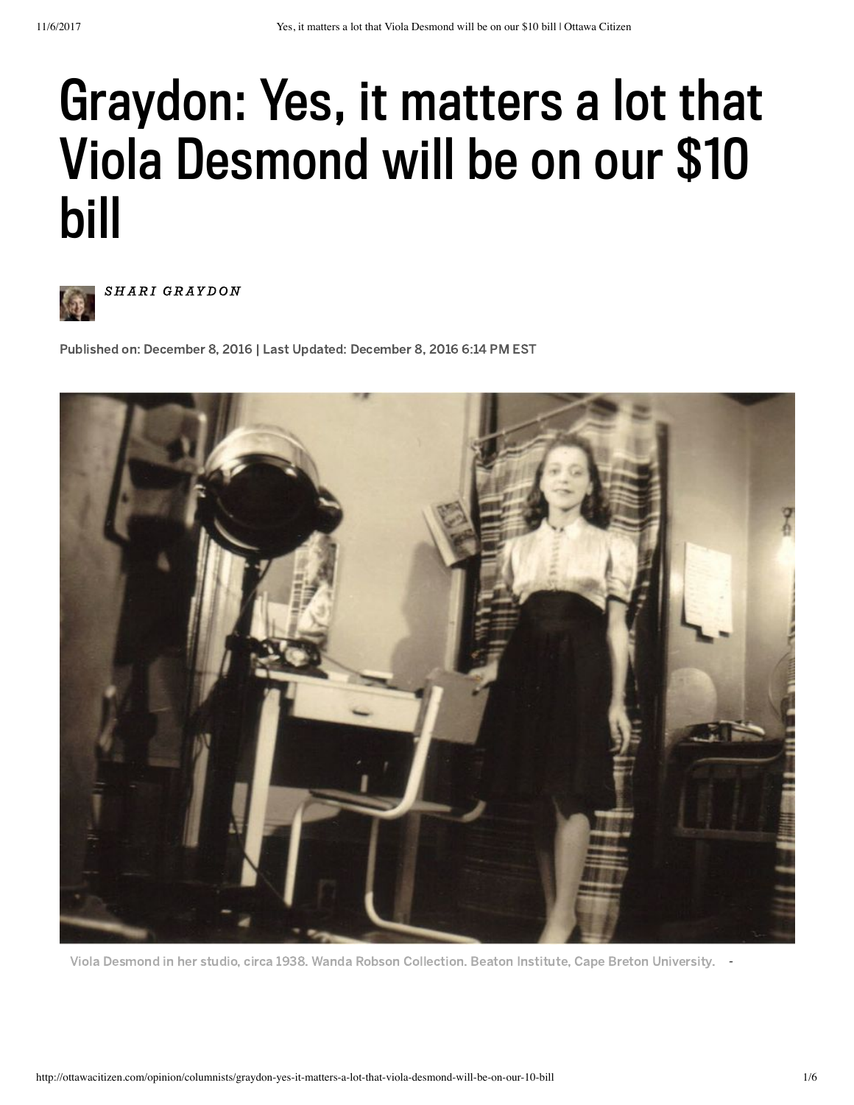## Graydon: Yes, it matters a lot that Viola Desmond will be on our \$10 bill



SHARI GRAYDON

Published on: December 8, 2016 | Last Updated: December 8, 2016 6:14 PM EST



Viola Desmond in her studio, circa 1938. Wanda Robson Collection. Beaton Institute, Cape Breton University. -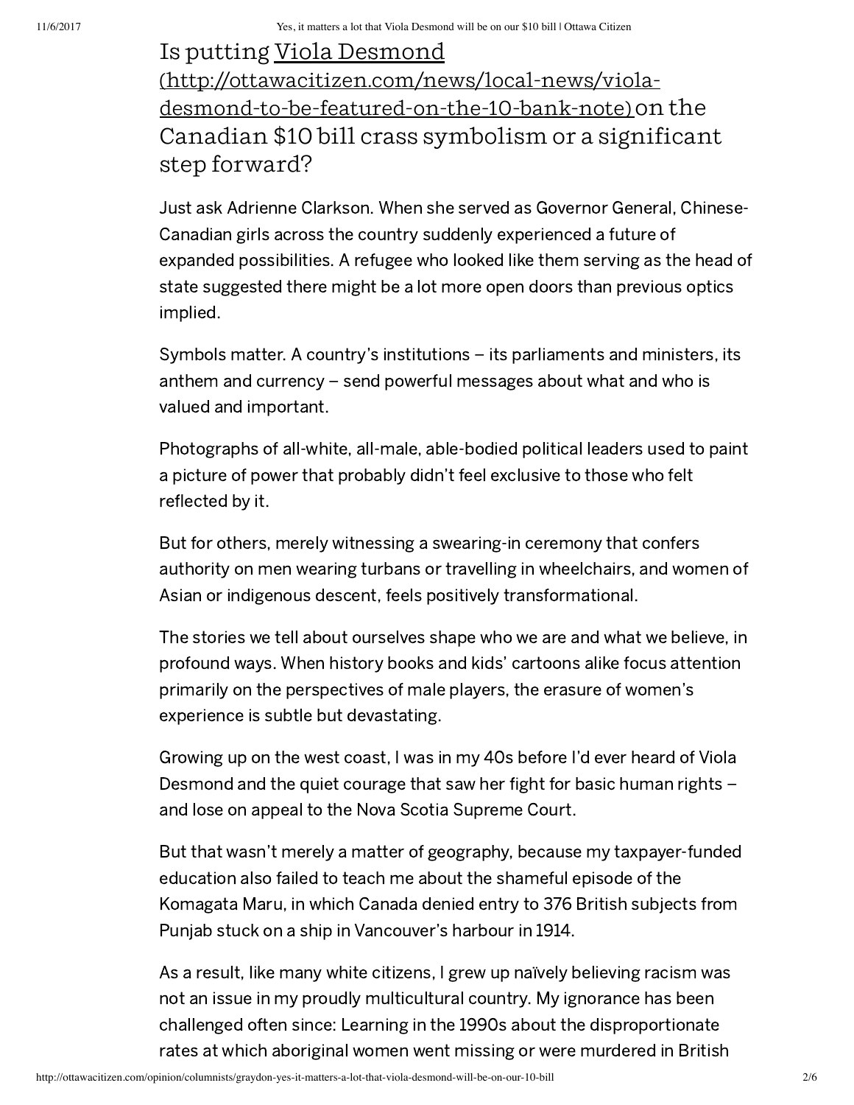## Is putting Viola Desmond [\(http://ottawacitizen.com/news/local‐news/viola‐](http://ottawacitizen.com/news/local-news/viola-desmond-to-be-featured-on-the-10-bank-note) desmond‐to‐be‐featured‐on‐the‐10‐bank‐note) on the Canadian \$10 bill crass symbolism or a significant step forward?

Just ask Adrienne Clarkson. When she served as Governor General, Chinese-Canadian girls across the country suddenly experienced a future of expanded possibilities. A refugee who looked like them serving as the head of state suggested there might be a lot more open doors than previous optics implied.

Symbols matter. A country's institutions – its parliaments and ministers, its anthem and currency – send powerful messages about what and who is valued and important.

Photographs of all-white, all-male, able-bodied political leaders used to paint a picture of power that probably didn't feel exclusive to those who felt reflected by it.

But for others, merely witnessing a swearing-in ceremony that confers authority on men wearing turbans or travelling in wheelchairs, and women of Asian or indigenous descent, feels positively transformational.

The stories we tell about ourselves shape who we are and what we believe, in profound ways. When history books and kids' cartoons alike focus attention primarily on the perspectives of male players, the erasure of women's experience is subtle but devastating.

Growing up on the west coast, I was in my 40s before I'd ever heard of Viola Desmond and the quiet courage that saw her fight for basic human rights – and lose on appeal to the Nova Scotia Supreme Court.

But that wasn't merely a matter of geography, because my taxpayer-funded education also failed to teach me about the shameful episode of the Komagata Maru, in which Canada denied entry to 376 British subjects from Punjab stuck on a ship in Vancouver's harbour in 1914.

As a result, like many white citizens, I grew up naïvely believing racism was not an issue in my proudly multicultural country. My ignorance has been challenged often since: Learning in the 1990s about the disproportionate rates at which aboriginal women went missing or were murdered in British